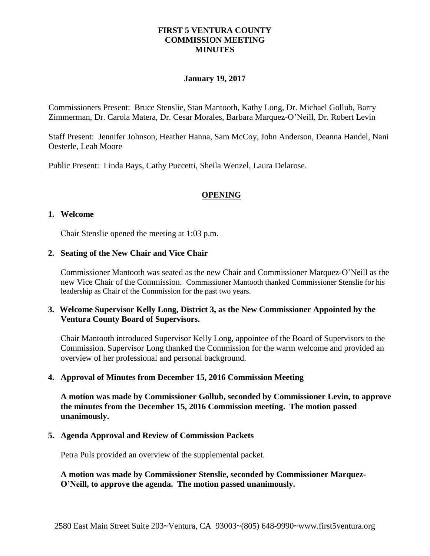## **FIRST 5 VENTURA COUNTY COMMISSION MEETING MINUTES**

### **January 19, 2017**

Commissioners Present: Bruce Stenslie, Stan Mantooth, Kathy Long, Dr. Michael Gollub, Barry Zimmerman, Dr. Carola Matera, Dr. Cesar Morales, Barbara Marquez-O'Neill, Dr. Robert Levin

Staff Present: Jennifer Johnson, Heather Hanna, Sam McCoy, John Anderson, Deanna Handel, Nani Oesterle, Leah Moore

Public Present: Linda Bays, Cathy Puccetti, Sheila Wenzel, Laura Delarose.

### **OPENING**

### **1. Welcome**

Chair Stenslie opened the meeting at 1:03 p.m.

### **2. Seating of the New Chair and Vice Chair**

Commissioner Mantooth was seated as the new Chair and Commissioner Marquez-O'Neill as the new Vice Chair of the Commission. Commissioner Mantooth thanked Commissioner Stenslie for his leadership as Chair of the Commission for the past two years.

## **3. Welcome Supervisor Kelly Long, District 3, as the New Commissioner Appointed by the Ventura County Board of Supervisors.**

Chair Mantooth introduced Supervisor Kelly Long, appointee of the Board of Supervisors to the Commission. Supervisor Long thanked the Commission for the warm welcome and provided an overview of her professional and personal background.

### **4. Approval of Minutes from December 15, 2016 Commission Meeting**

**A motion was made by Commissioner Gollub, seconded by Commissioner Levin, to approve the minutes from the December 15, 2016 Commission meeting. The motion passed unanimously.**

#### **5. Agenda Approval and Review of Commission Packets**

Petra Puls provided an overview of the supplemental packet.

**A motion was made by Commissioner Stenslie, seconded by Commissioner Marquez-O'Neill, to approve the agenda. The motion passed unanimously.**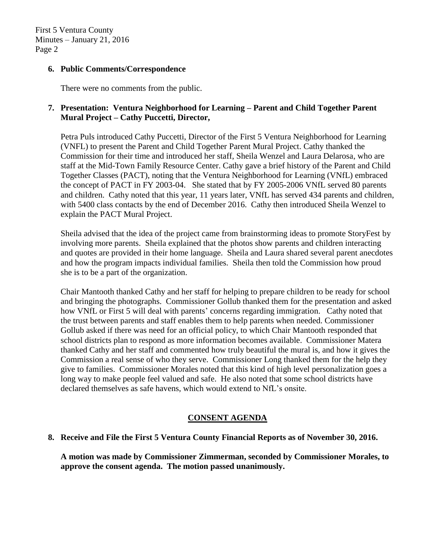### **6. Public Comments/Correspondence**

There were no comments from the public.

## **7. Presentation: Ventura Neighborhood for Learning – Parent and Child Together Parent Mural Project – Cathy Puccetti, Director,**

Petra Puls introduced Cathy Puccetti, Director of the First 5 Ventura Neighborhood for Learning (VNFL) to present the Parent and Child Together Parent Mural Project. Cathy thanked the Commission for their time and introduced her staff, Sheila Wenzel and Laura Delarosa, who are staff at the Mid-Town Family Resource Center. Cathy gave a brief history of the Parent and Child Together Classes (PACT), noting that the Ventura Neighborhood for Learning (VNfL) embraced the concept of PACT in FY 2003-04. She stated that by FY 2005-2006 VNfL served 80 parents and children. Cathy noted that this year, 11 years later, VNfL has served 434 parents and children, with 5400 class contacts by the end of December 2016. Cathy then introduced Sheila Wenzel to explain the PACT Mural Project.

Sheila advised that the idea of the project came from brainstorming ideas to promote StoryFest by involving more parents. Sheila explained that the photos show parents and children interacting and quotes are provided in their home language. Sheila and Laura shared several parent anecdotes and how the program impacts individual families. Sheila then told the Commission how proud she is to be a part of the organization.

Chair Mantooth thanked Cathy and her staff for helping to prepare children to be ready for school and bringing the photographs. Commissioner Gollub thanked them for the presentation and asked how VNfL or First 5 will deal with parents' concerns regarding immigration. Cathy noted that the trust between parents and staff enables them to help parents when needed. Commissioner Gollub asked if there was need for an official policy, to which Chair Mantooth responded that school districts plan to respond as more information becomes available. Commissioner Matera thanked Cathy and her staff and commented how truly beautiful the mural is, and how it gives the Commission a real sense of who they serve. Commissioner Long thanked them for the help they give to families. Commissioner Morales noted that this kind of high level personalization goes a long way to make people feel valued and safe. He also noted that some school districts have declared themselves as safe havens, which would extend to NfL's onsite.

## **CONSENT AGENDA**

## **8. Receive and File the First 5 Ventura County Financial Reports as of November 30, 2016.**

**A motion was made by Commissioner Zimmerman, seconded by Commissioner Morales, to approve the consent agenda. The motion passed unanimously.**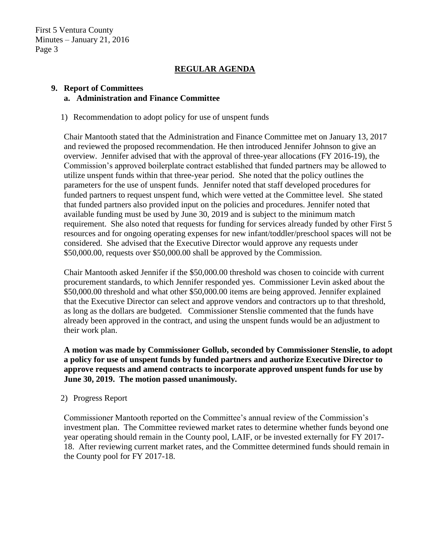First 5 Ventura County Minutes – January 21, 2016 Page 3

# **REGULAR AGENDA**

### **9. Report of Committees a. Administration and Finance Committee**

1) Recommendation to adopt policy for use of unspent funds

Chair Mantooth stated that the Administration and Finance Committee met on January 13, 2017 and reviewed the proposed recommendation. He then introduced Jennifer Johnson to give an overview. Jennifer advised that with the approval of three-year allocations (FY 2016-19), the Commission's approved boilerplate contract established that funded partners may be allowed to utilize unspent funds within that three-year period. She noted that the policy outlines the parameters for the use of unspent funds. Jennifer noted that staff developed procedures for funded partners to request unspent fund, which were vetted at the Committee level. She stated that funded partners also provided input on the policies and procedures. Jennifer noted that available funding must be used by June 30, 2019 and is subject to the minimum match requirement. She also noted that requests for funding for services already funded by other First 5 resources and for ongoing operating expenses for new infant/toddler/preschool spaces will not be considered. She advised that the Executive Director would approve any requests under \$50,000.00, requests over \$50,000.00 shall be approved by the Commission.

Chair Mantooth asked Jennifer if the \$50,000.00 threshold was chosen to coincide with current procurement standards, to which Jennifer responded yes. Commissioner Levin asked about the \$50,000.00 threshold and what other \$50,000.00 items are being approved. Jennifer explained that the Executive Director can select and approve vendors and contractors up to that threshold, as long as the dollars are budgeted. Commissioner Stenslie commented that the funds have already been approved in the contract, and using the unspent funds would be an adjustment to their work plan.

**A motion was made by Commissioner Gollub, seconded by Commissioner Stenslie, to adopt a policy for use of unspent funds by funded partners and authorize Executive Director to approve requests and amend contracts to incorporate approved unspent funds for use by June 30, 2019. The motion passed unanimously.** 

### 2) Progress Report

Commissioner Mantooth reported on the Committee's annual review of the Commission's investment plan. The Committee reviewed market rates to determine whether funds beyond one year operating should remain in the County pool, LAIF, or be invested externally for FY 2017- 18. After reviewing current market rates, and the Committee determined funds should remain in the County pool for FY 2017-18.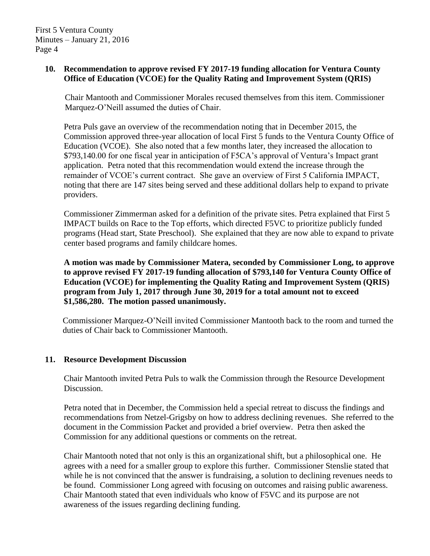## **10. Recommendation to approve revised FY 2017-19 funding allocation for Ventura County Office of Education (VCOE) for the Quality Rating and Improvement System (QRIS)**

 Chair Mantooth and Commissioner Morales recused themselves from this item. Commissioner Marquez-O'Neill assumed the duties of Chair.

Petra Puls gave an overview of the recommendation noting that in December 2015, the Commission approved three-year allocation of local First 5 funds to the Ventura County Office of Education (VCOE). She also noted that a few months later, they increased the allocation to \$793,140.00 for one fiscal year in anticipation of F5CA's approval of Ventura's Impact grant application. Petra noted that this recommendation would extend the increase through the remainder of VCOE's current contract. She gave an overview of First 5 California IMPACT, noting that there are 147 sites being served and these additional dollars help to expand to private providers.

Commissioner Zimmerman asked for a definition of the private sites. Petra explained that First 5 IMPACT builds on Race to the Top efforts, which directed F5VC to prioritize publicly funded programs (Head start, State Preschool). She explained that they are now able to expand to private center based programs and family childcare homes.

**A motion was made by Commissioner Matera, seconded by Commissioner Long, to approve to approve revised FY 2017-19 funding allocation of \$793,140 for Ventura County Office of Education (VCOE) for implementing the Quality Rating and Improvement System (QRIS) program from July 1, 2017 through June 30, 2019 for a total amount not to exceed \$1,586,280. The motion passed unanimously.**

Commissioner Marquez-O'Neill invited Commissioner Mantooth back to the room and turned the duties of Chair back to Commissioner Mantooth.

## **11. Resource Development Discussion**

Chair Mantooth invited Petra Puls to walk the Commission through the Resource Development Discussion.

Petra noted that in December, the Commission held a special retreat to discuss the findings and recommendations from Netzel-Grigsby on how to address declining revenues. She referred to the document in the Commission Packet and provided a brief overview. Petra then asked the Commission for any additional questions or comments on the retreat.

Chair Mantooth noted that not only is this an organizational shift, but a philosophical one. He agrees with a need for a smaller group to explore this further. Commissioner Stenslie stated that while he is not convinced that the answer is fundraising, a solution to declining revenues needs to be found. Commissioner Long agreed with focusing on outcomes and raising public awareness. Chair Mantooth stated that even individuals who know of F5VC and its purpose are not awareness of the issues regarding declining funding.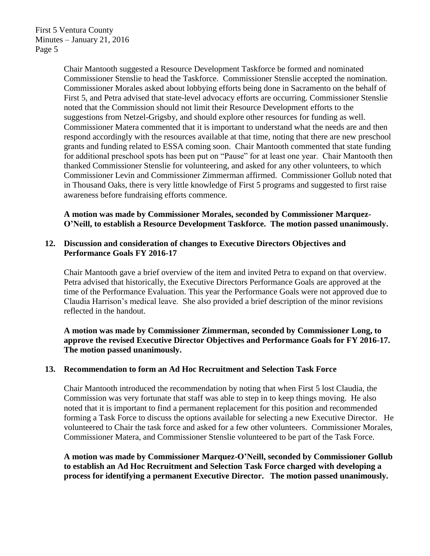First 5 Ventura County Minutes – January 21, 2016 Page 5

> Chair Mantooth suggested a Resource Development Taskforce be formed and nominated Commissioner Stenslie to head the Taskforce. Commissioner Stenslie accepted the nomination. Commissioner Morales asked about lobbying efforts being done in Sacramento on the behalf of First 5, and Petra advised that state-level advocacy efforts are occurring. Commissioner Stenslie noted that the Commission should not limit their Resource Development efforts to the suggestions from Netzel-Grigsby, and should explore other resources for funding as well. Commissioner Matera commented that it is important to understand what the needs are and then respond accordingly with the resources available at that time, noting that there are new preschool grants and funding related to ESSA coming soon. Chair Mantooth commented that state funding for additional preschool spots has been put on "Pause" for at least one year. Chair Mantooth then thanked Commissioner Stenslie for volunteering, and asked for any other volunteers, to which Commissioner Levin and Commissioner Zimmerman affirmed. Commissioner Gollub noted that in Thousand Oaks, there is very little knowledge of First 5 programs and suggested to first raise awareness before fundraising efforts commence.

**A motion was made by Commissioner Morales, seconded by Commissioner Marquez-O'Neill, to establish a Resource Development Taskforce. The motion passed unanimously.**

## **12. Discussion and consideration of changes to Executive Directors Objectives and Performance Goals FY 2016-17**

Chair Mantooth gave a brief overview of the item and invited Petra to expand on that overview. Petra advised that historically, the Executive Directors Performance Goals are approved at the time of the Performance Evaluation. This year the Performance Goals were not approved due to Claudia Harrison's medical leave. She also provided a brief description of the minor revisions reflected in the handout.

**A motion was made by Commissioner Zimmerman, seconded by Commissioner Long, to approve the revised Executive Director Objectives and Performance Goals for FY 2016-17. The motion passed unanimously.**

### **13. Recommendation to form an Ad Hoc Recruitment and Selection Task Force**

Chair Mantooth introduced the recommendation by noting that when First 5 lost Claudia, the Commission was very fortunate that staff was able to step in to keep things moving. He also noted that it is important to find a permanent replacement for this position and recommended forming a Task Force to discuss the options available for selecting a new Executive Director. He volunteered to Chair the task force and asked for a few other volunteers. Commissioner Morales, Commissioner Matera, and Commissioner Stenslie volunteered to be part of the Task Force.

**A motion was made by Commissioner Marquez-O'Neill, seconded by Commissioner Gollub to establish an Ad Hoc Recruitment and Selection Task Force charged with developing a process for identifying a permanent Executive Director. The motion passed unanimously.**